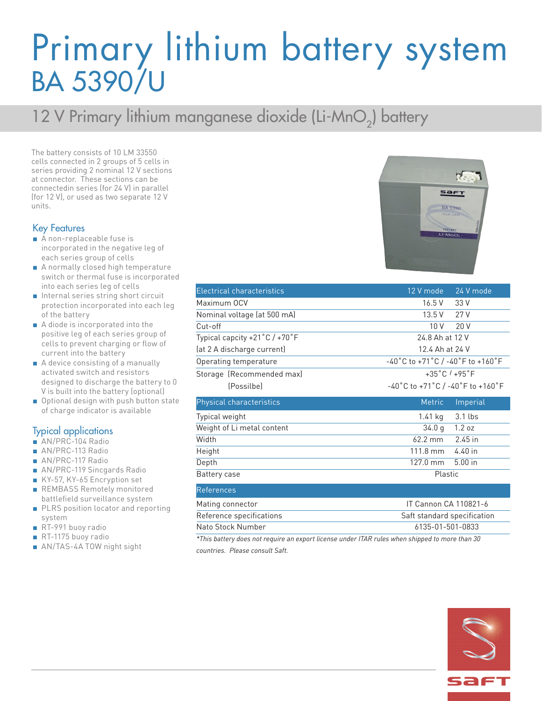## Primary lithium battery system BA 5390/U

### 12 V Primary lithium manganese dioxide (Li-MnO<sub>2</sub>) battery

The battery consists of 10 LM 33550 cells connected in 2 groups of 5 cells in series providing 2 nominal 12 V sections at connector. These sections can be connectedin series (for 24 V) in parallel (for 12 V), or used as two separate 12 V units.

#### Key Features

- A non-replaceable fuse is incorporated in the negative leg of each series group of cells
- A normally closed high temperature switch or thermal fuse is incorporated into each series leg of cells
- Internal series string short circuit protection incorporated into each leg of the battery
- A diode is incorporated into the positive leg of each series group of cells to prevent charging or flow of current into the battery
- A device consisting of a manually activated switch and resistors designed to discharge the battery to 0 V is built into the battery (optional)
- Optional design with push button state of charge indicator is available

#### Typical applications

- AN/PRC-104 Radio
- AN/PRC-113 Radio
- AN/PRC-117 Radio
- AN/PRC-119 Sincgards Radio
- KY-57, KY-65 Encryption set
- REMBASS Remotely monitored battlefield surveillance system
- PLRS position locator and reporting system
- RT-991 buoy radio
- RT-1175 buoy radio
- AN/TAS-4A TOW night sight

| <b>Electrical characteristics</b>               | 12 V mode<br>24 V mode                                                      |
|-------------------------------------------------|-----------------------------------------------------------------------------|
| Maximum OCV                                     | 16.5 V<br>33 V                                                              |
| Nominal voltage (at 500 mA)                     | 13.5V<br>27V                                                                |
| Cut-off                                         | 10V<br>20V                                                                  |
| Typical capcity $+21\degree C$ / $+70\degree F$ | 24.8 Ah at 12 V                                                             |
| (at 2 A discharge current)                      | 12.4 Ah at 24 V                                                             |
| Operating temperature                           | -40°C to +71°C / -40°F to +160°F                                            |
| Storage (Recommended max)                       | $+35^{\circ}$ C $/ +95^{\circ}$ F                                           |
| (Possilbe)                                      | $-40^{\circ}$ C to +71 $^{\circ}$ C / -40 $^{\circ}$ F to +160 $^{\circ}$ F |
| Physical characteristics                        | <b>Metric</b><br>Imperial                                                   |
| Typical weight                                  | 1.41 kg<br>3.1 lbs                                                          |
| Weight of Li metal content                      | 1.2 oz<br>34.0 <sub>q</sub>                                                 |
| Width                                           | $62.2 \text{ mm}$<br>2.45 in                                                |
| Height                                          | 4.40 in<br>111.8 mm                                                         |
| Depth                                           |                                                                             |
|                                                 | $127.0$ mm<br>$5.00$ in                                                     |
| Battery case                                    | Plastic                                                                     |
| References                                      |                                                                             |

Nato Stock Number 6135-01-501-0833 *\*This battery does not require an export license under ITAR rules when shipped to more than 30 countries. Please consult Saft.*

Reference specifications The Saft standard specification Saft standard specification